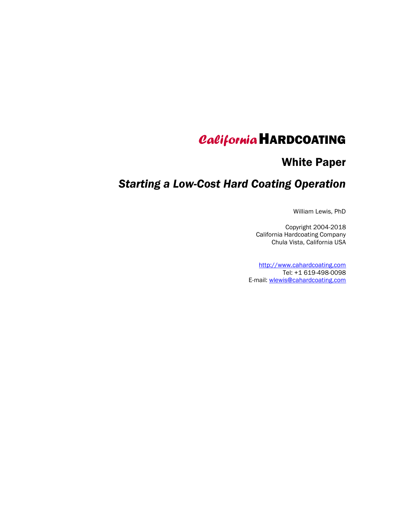# CaliforniaHARDCOATING

# White Paper

# Starting a Low-Cost Hard Coating Operation

William Lewis, PhD

Copyright 2004-2018 California Hardcoating Company Chula Vista, California USA

http://www.cahardcoating.com Tel: +1 619-498-0098 E-mail: wlewis@cahardcoating.com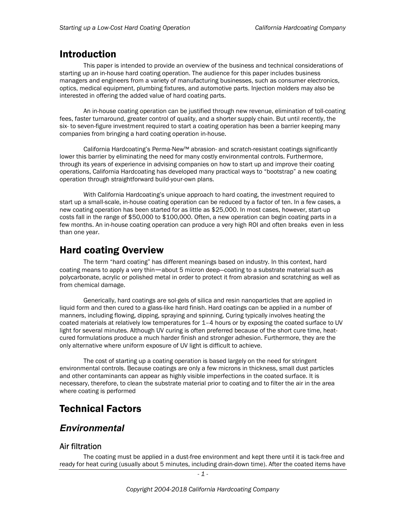# Introduction

This paper is intended to provide an overview of the business and technical considerations of starting up an in-house hard coating operation. The audience for this paper includes business managers and engineers from a variety of manufacturing businesses, such as consumer electronics, optics, medical equipment, plumbing fixtures, and automotive parts. Injection molders may also be interested in offering the added value of hard coating parts.

An in-house coating operation can be justified through new revenue, elimination of toll-coating fees, faster turnaround, greater control of quality, and a shorter supply chain. But until recently, the six- to seven-figure investment required to start a coating operation has been a barrier keeping many companies from bringing a hard coating operation in-house.

California Hardcoating's Perma-New™ abrasion- and scratch-resistant coatings significantly lower this barrier by eliminating the need for many costly environmental controls. Furthermore, through its years of experience in advising companies on how to start up and improve their coating operations, California Hardcoating has developed many practical ways to "bootstrap" a new coating operation through straightforward build-your-own plans.

With California Hardcoating's unique approach to hard coating, the investment required to start up a small-scale, in-house coating operation can be reduced by a factor of ten. In a few cases, a new coating operation has been started for as little as \$25,000. In most cases, however, start-up costs fall in the range of \$50,000 to \$100,000. Often, a new operation can begin coating parts in a few months. An in-house coating operation can produce a very high ROI and often breaks even in less than one year.

# Hard coating Overview

The term "hard coating" has different meanings based on industry. In this context, hard coating means to apply a very thin—about 5 micron deep—coating to a substrate material such as polycarbonate, acrylic or polished metal in order to protect it from abrasion and scratching as well as from chemical damage.

Generically, hard coatings are sol-gels of silica and resin nanoparticles that are applied in liquid form and then cured to a glass-like hard finish. Hard coatings can be applied in a number of manners, including flowing, dipping, spraying and spinning. Curing typically involves heating the coated materials at relatively low temperatures for 1–4 hours or by exposing the coated surface to UV light for several minutes. Although UV curing is often preferred because of the short cure time, heatcured formulations produce a much harder finish and stronger adhesion. Furthermore, they are the only alternative where uniform exposure of UV light is difficult to achieve.

The cost of starting up a coating operation is based largely on the need for stringent environmental controls. Because coatings are only a few microns in thickness, small dust particles and other contaminants can appear as highly visible imperfections in the coated surface. It is necessary, therefore, to clean the substrate material prior to coating and to filter the air in the area where coating is performed

# Technical Factors

### Environmental

#### Air filtration

The coating must be applied in a dust-free environment and kept there until it is tack-free and ready for heat curing (usually about 5 minutes, including drain-down time). After the coated items have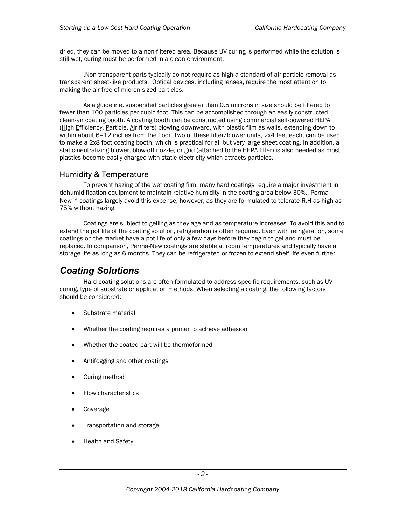dried, they can be moved to a non-filtered area. Because UV curing is performed while the solution is still wet, curing must be performed in a clean environment.

.Non-transparent parts typically do not require as high a standard of air particle removal as transparent sheet-like products. Optical devices, including lenses, require the most attention to making the air free of micron-sized particles.

As a guideline, suspended particles greater than 0.5 microns in size should be filtered to fewer than 100 particles per cubic foot. This can be accomplished through an easily constructed clean-air coating booth. A coating booth can be constructed using commercial self-powered HEPA (High Efficiency, Particle, Air filters) blowing downward, with plastic film as walls, extending down to within about 6–12 inches from the floor. Two of these filter/blower units, 2x4 feet each, can be used to make a 2x8 foot coating booth, which is practical for all but very large sheet coating. In addition, a static-neutralizing blower, blow-off nozzle, or grid (attached to the HEPA filter) is also needed as most plastics become easily charged with static electricity which attracts particles.

#### Humidity & Temperature

To prevent hazing of the wet coating film, many hard coatings require a major investment in dehumidification equipment to maintain relative humidity in the coating area below 30%.. Perma-New™ coatings largely avoid this expense, however, as they are formulated to tolerate R.H as high as 75% without hazing.

Coatings are subject to gelling as they age and as temperature increases. To avoid this and to extend the pot life of the coating solution, refrigeration is often required. Even with refrigeration, some coatings on the market have a pot life of only a few days before they begin to gel and must be replaced. In comparison, Perma-New coatings are stable at room temperatures and typically have a storage life as long as 6 months. They can be refrigerated or frozen to extend shelf life even further.

# Coating Solutions

Hard coating solutions are often formulated to address specific requirements, such as UV curing, type of substrate or application methods. When selecting a coating, the following factors should be considered:

- Substrate material
- Whether the coating requires a primer to achieve adhesion
- Whether the coated part will be thermoformed
- Antifogging and other coatings
- Curing method
- Flow characteristics
- Coverage
- Transportation and storage
- Health and Safety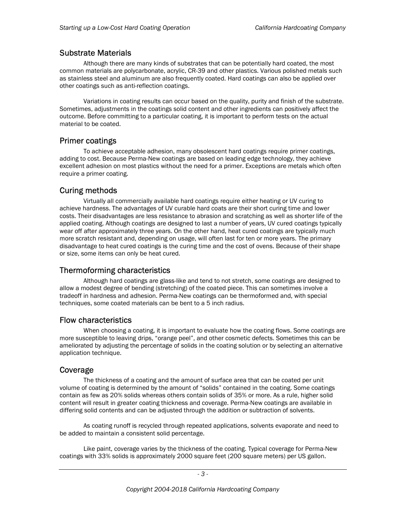#### Substrate Materials

Although there are many kinds of substrates that can be potentially hard coated, the most common materials are polycarbonate, acrylic, CR-39 and other plastics. Various polished metals such as stainless steel and aluminum are also frequently coated. Hard coatings can also be applied over other coatings such as anti-reflection coatings.

Variations in coating results can occur based on the quality, purity and finish of the substrate. Sometimes, adjustments in the coatings solid content and other ingredients can positively affect the outcome. Before committing to a particular coating, it is important to perform tests on the actual material to be coated.

#### Primer coatings

To achieve acceptable adhesion, many obsolescent hard coatings require primer coatings, adding to cost. Because Perma-New coatings are based on leading edge technology, they achieve excellent adhesion on most plastics without the need for a primer. Exceptions are metals which often require a primer coating.

#### Curing methods

Virtually all commercially available hard coatings require either heating or UV curing to achieve hardness. The advantages of UV curable hard coats are their short curing time and lower costs. Their disadvantages are less resistance to abrasion and scratching as well as shorter life of the applied coating. Although coatings are designed to last a number of years, UV cured coatings typically wear off after approximately three years. On the other hand, heat cured coatings are typically much more scratch resistant and, depending on usage, will often last for ten or more years. The primary disadvantage to heat cured coatings is the curing time and the cost of ovens. Because of their shape or size, some items can only be heat cured.

#### Thermoforming characteristics

Although hard coatings are glass-like and tend to not stretch, some coatings are designed to allow a modest degree of bending (stretching) of the coated piece. This can sometimes involve a tradeoff in hardness and adhesion. Perma-New coatings can be thermoformed and, with special techniques, some coated materials can be bent to a 5 inch radius.

#### Flow characteristics

When choosing a coating, it is important to evaluate how the coating flows. Some coatings are more susceptible to leaving drips, "orange peel", and other cosmetic defects. Sometimes this can be ameliorated by adjusting the percentage of solids in the coating solution or by selecting an alternative application technique.

#### Coverage

The thickness of a coating and the amount of surface area that can be coated per unit volume of coating is determined by the amount of "solids" contained in the coating. Some coatings contain as few as 20% solids whereas others contain solids of 35% or more. As a rule, higher solid content will result in greater coating thickness and coverage. Perma-New coatings are available in differing solid contents and can be adjusted through the addition or subtraction of solvents.

As coating runoff is recycled through repeated applications, solvents evaporate and need to be added to maintain a consistent solid percentage.

Like paint, coverage varies by the thickness of the coating. Typical coverage for Perma-New coatings with 33% solids is approximately 2000 square feet (200 square meters) per US gallon.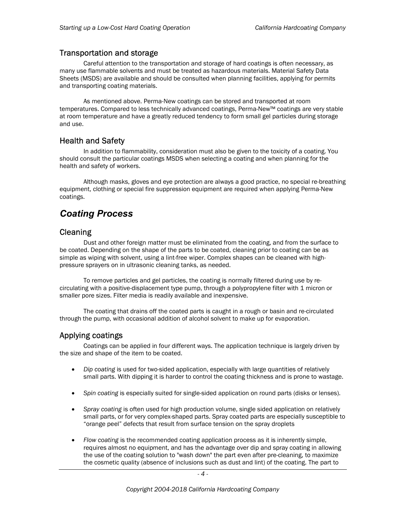#### Transportation and storage

Careful attention to the transportation and storage of hard coatings is often necessary, as many use flammable solvents and must be treated as hazardous materials. Material Safety Data Sheets (MSDS) are available and should be consulted when planning facilities, applying for permits and transporting coating materials.

As mentioned above. Perma-New coatings can be stored and transported at room temperatures. Compared to less technically advanced coatings, Perma-New™ coatings are very stable at room temperature and have a greatly reduced tendency to form small gel particles during storage and use.

#### Health and Safety

In addition to flammability, consideration must also be given to the toxicity of a coating. You should consult the particular coatings MSDS when selecting a coating and when planning for the health and safety of workers.

Although masks, gloves and eye protection are always a good practice, no special re-breathing equipment, clothing or special fire suppression equipment are required when applying Perma-New coatings.

### Coating Process

#### **Cleaning**

Dust and other foreign matter must be eliminated from the coating, and from the surface to be coated. Depending on the shape of the parts to be coated, cleaning prior to coating can be as simple as wiping with solvent, using a lint-free wiper. Complex shapes can be cleaned with highpressure sprayers on in ultrasonic cleaning tanks, as needed.

To remove particles and gel particles, the coating is normally filtered during use by recirculating with a positive-displacement type pump, through a polypropylene filter with 1 micron or smaller pore sizes. Filter media is readily available and inexpensive.

The coating that drains off the coated parts is caught in a rough or basin and re-circulated through the pump, with occasional addition of alcohol solvent to make up for evaporation.

#### Applying coatings

 Coatings can be applied in four different ways. The application technique is largely driven by the size and shape of the item to be coated.

- Dip coating is used for two-sided application, especially with large quantities of relatively small parts. With dipping it is harder to control the coating thickness and is prone to wastage.
- Spin coating is especially suited for single-sided application on round parts (disks or lenses).
- Spray coating is often used for high production volume, single sided application on relatively small parts, or for very complex-shaped parts. Spray coated parts are especially susceptible to "orange peel" defects that result from surface tension on the spray droplets
- Flow coating is the recommended coating application process as it is inherently simple, requires almost no equipment, and has the advantage over dip and spray coating in allowing the use of the coating solution to "wash down" the part even after pre-cleaning, to maximize the cosmetic quality (absence of inclusions such as dust and lint) of the coating. The part to